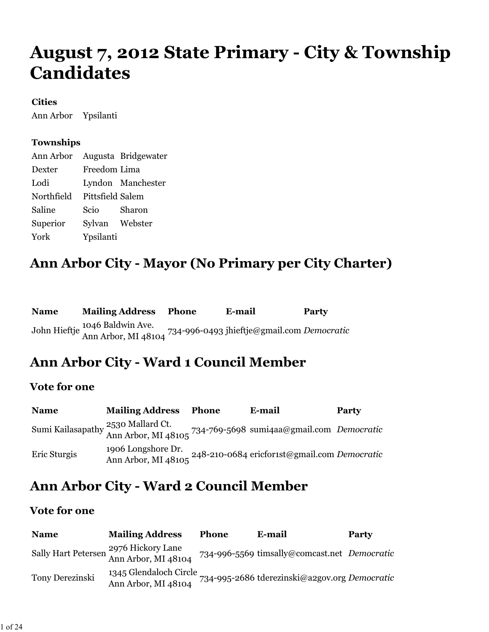# **August 7, 2012 State Primary - City & Township Candidates**

#### **Cities**

Ann Arbor Ypsilanti

#### **Townships**

| Ann Arbor Augusta Bridgewater |                  |                   |
|-------------------------------|------------------|-------------------|
| Dexter                        | Freedom Lima     |                   |
| Lodi                          |                  | Lyndon Manchester |
| Northfield                    | Pittsfield Salem |                   |
| Saline                        | Scio             | Sharon            |
| Superior                      | Sylvan Webster   |                   |
| York                          | Ypsilanti        |                   |

### **Ann Arbor City - Mayor (No Primary per City Charter)**

| <b>Name</b> | <b>Mailing Address Phone</b>                                                                     | E-mail | <b>Party</b> |
|-------------|--------------------------------------------------------------------------------------------------|--------|--------------|
|             | John Hieftje 1046 Baldwin Ave.<br>Ann Arbor, MI 48104 734-996-0493 jhieftje@gmail.com Democratic |        |              |

## **Ann Arbor City - Ward 1 Council Member**

#### **Vote for one**

| <b>Name</b>  | <b>Mailing Address</b> | Phone | E-mail                                                                                              | Party |
|--------------|------------------------|-------|-----------------------------------------------------------------------------------------------------|-------|
|              |                        |       | Sumi Kailasapathy 2530 Mallard Ct.<br>Ann Arbor, MI 48105 734-769-5698 sumi4aa@gmail.com Democratic |       |
| Eric Sturgis |                        |       | Ann Arbor, MI 48105 248-210-0684 ericforist@gmail.com <i>Democratic</i>                             |       |

### **Ann Arbor City - Ward 2 Council Member**

| <b>Name</b>     | <b>Mailing Address</b>                                       | <b>Phone</b> | E-mail                                        | <b>Party</b> |
|-----------------|--------------------------------------------------------------|--------------|-----------------------------------------------|--------------|
|                 | Sally Hart Petersen 2976 Hickory Lane<br>Ann Arbor, MI 48104 |              | 734-996-5569 timsally@comcast.net Democratic  |              |
| Tony Derezinski | 1345 Glendaloch Circle<br>Ann Arbor, MI 48104                |              | 734-995-2686 tderezinski@a2gov.org Democratic |              |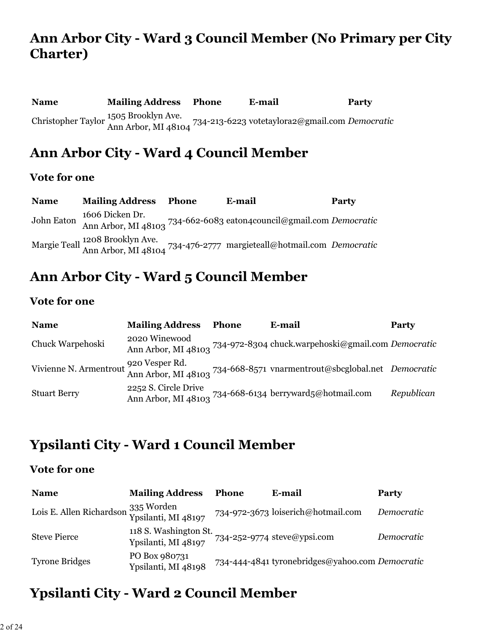## **Ann Arbor City - Ward 3 Council Member (No Primary per City Charter)**

**Name Mailing Address Phone E-mail Party** Christopher Taylor 1505 Brooklyn Ave. Ann Arbor, MI 48104 734-213-6223 votetaylora2@gmail.com *Democratic*

### **Ann Arbor City - Ward 4 Council Member**

#### **Vote for one**

| <b>Name</b> | <b>Mailing Address</b> | Phone | E-mail                                                                                                 | <b>Party</b> |
|-------------|------------------------|-------|--------------------------------------------------------------------------------------------------------|--------------|
| John Eaton  |                        |       | 1606 Dicken Dr.<br>Ann Arbor, MI 48103 734-662-6083 eaton4council@gmail.com Democratic                 |              |
|             |                        |       | Margie Teall 1208 Brooklyn Ave.<br>Ann Arbor, MI 48104 734-476-2777 margieteall@hotmail.com Democratic |              |

## **Ann Arbor City - Ward 5 Council Member**

#### **Vote for one**

| <b>Name</b>         | <b>Mailing Address</b> | <b>Phone</b> | E-mail                                                                                                          | Party      |
|---------------------|------------------------|--------------|-----------------------------------------------------------------------------------------------------------------|------------|
| Chuck Warpehoski    | 2020 Winewood          |              | Ann Arbor, MI 48103 734-972-8304 chuck.warpehoski@gmail.com Democratic                                          |            |
|                     |                        |              | Vivienne N. Armentrout 920 Vesper Rd.<br>Ann Arbor, MI 48103 734-668-8571 vnarmentrout@sbcglobal.net Democratic |            |
| <b>Stuart Berry</b> | 2252 S. Circle Drive   |              | Ann Arbor, MI 48103 734-668-6134 berryward5@hotmail.com                                                         | Republican |

### **Ypsilanti City - Ward 1 Council Member**

#### **Vote for one**

| <b>Name</b>                                                | <b>Mailing Address</b>                                                   | Phone | E-mail                                          | Party      |
|------------------------------------------------------------|--------------------------------------------------------------------------|-------|-------------------------------------------------|------------|
| Lois E. Allen Richardson 335 Worden<br>Ypsilanti, MI 48197 |                                                                          |       | 734-972-3673 loiserich@hotmail.com              | Democratic |
| <b>Steve Pierce</b>                                        | 118 S. Washington St.<br>Ypsilanti, MI 48197 734-252-9774 steve@ypsi.com |       |                                                 | Democratic |
| <b>Tyrone Bridges</b>                                      | PO Box 980731<br>Ypsilanti, MI 48198                                     |       | 734-444-4841 tyronebridges@yahoo.com Democratic |            |

## **Ypsilanti City - Ward 2 Council Member**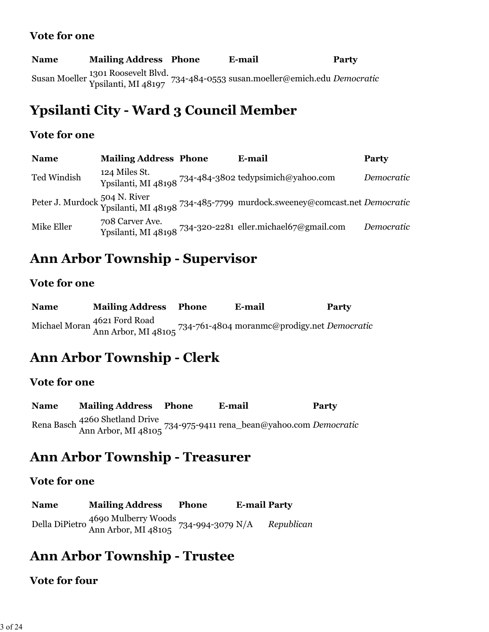#### **Vote for one**

| <b>Name</b> | <b>Mailing Address Phone</b> | E-mail                                                                                                    | <b>Party</b> |
|-------------|------------------------------|-----------------------------------------------------------------------------------------------------------|--------------|
|             |                              | Susan Moeller 1301 Roosevelt Blvd.<br>Ypsilanti, MI 48197 734-484-0553 susan.moeller@emich.edu Democratic |              |

### **Ypsilanti City - Ward 3 Council Member**

#### **Vote for one**

| <b>Name</b> | <b>Mailing Address Phone</b> | E-mail                                                                                                   | Party      |
|-------------|------------------------------|----------------------------------------------------------------------------------------------------------|------------|
| Ted Windish | 124 Miles St.                | Ypsilanti, MI 48198 734-484-3802 tedypsimich@yahoo.com                                                   | Democratic |
|             |                              | Peter J. Murdock 504 N. River<br>Ypsilanti, MI 48198 734-485-7799 murdock.sweeney@comcast.net Democratic |            |
| Mike Eller  | 708 Carver Ave.              | Ypsilanti, MI 48198 734-320-2281 eller.michael67@gmail.com                                               | Democratic |

### **Ann Arbor Township - Supervisor**

#### **Vote for one**

| <b>Name</b> | <b>Mailing Address Phone</b> | E-mail                                                                                          | Party |
|-------------|------------------------------|-------------------------------------------------------------------------------------------------|-------|
|             |                              | Michael Moran 4621 Ford Road<br>Ann Arbor, MI 48105 734-761-4804 moranmc@prodigy.net Democratic |       |

## **Ann Arbor Township - Clerk**

#### **Vote for one**

**Name Mailing Address Phone E-mail Party** Rena Basch 4260 Shetland Drive Ann Arbor, MI 48105 734-975-9411 rena\_bean@yahoo.com *Democratic*

### **Ann Arbor Township - Treasurer**

#### **Vote for one**

**Name Mailing Address Phone E-mail Party** Della DiPietro 4690 Mulberry Woods Ann Arbor, MI 48105 734-994-3079 N/A *Republican*

### **Ann Arbor Township - Trustee**

#### **Vote for four**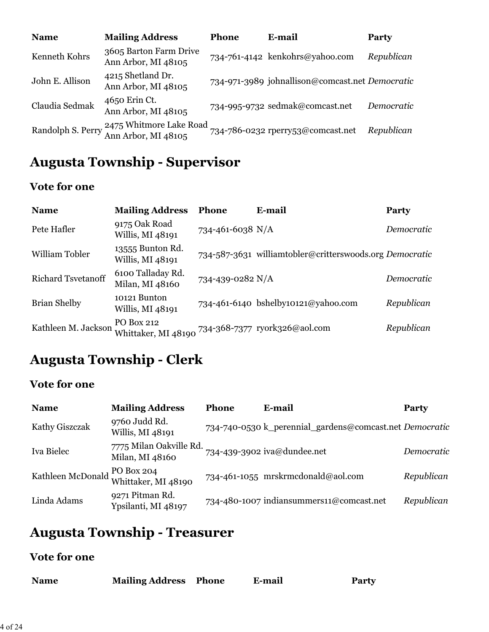| <b>Name</b>       | <b>Mailing Address</b>                         | <b>Phone</b> | E-mail                                          | <b>Party</b> |
|-------------------|------------------------------------------------|--------------|-------------------------------------------------|--------------|
| Kenneth Kohrs     | 3605 Barton Farm Drive<br>Ann Arbor, MI 48105  |              | 734-761-4142 kenkohrs@yahoo.com                 | Republican   |
| John E. Allison   | 4215 Shetland Dr.<br>Ann Arbor, MI 48105       |              | 734-971-3989 johnallison@comcast.net Democratic |              |
| Claudia Sedmak    | 4650 Erin Ct.<br>Ann Arbor, MI 48105           |              | 734-995-9732 sedmak@comcast.net                 | Democratic   |
| Randolph S. Perry | 2475 Whitmore Lake Road<br>Ann Arbor, MI 48105 |              | 734-786-0232 rperry53@comcast.net               | Republican   |

# **Augusta Township - Supervisor**

### **Vote for one**

| <b>Name</b>         | <b>Mailing Address</b>                                          | <b>Phone</b>     | E-mail                                                  | Party      |
|---------------------|-----------------------------------------------------------------|------------------|---------------------------------------------------------|------------|
| Pete Hafler         | 9175 Oak Road<br>Willis, MI 48191                               | 734-461-6038 N/A |                                                         | Democratic |
| William Tobler      | 13555 Bunton Rd.<br>Willis, MI 48191                            |                  | 734-587-3631 williamtobler@critterswoods.org Democratic |            |
| Richard Tsvetanoff  | 6100 Talladay Rd.<br>Milan, MI 48160                            | 734-439-0282 N/A |                                                         | Democratic |
| <b>Brian Shelby</b> | 10121 Bunton<br>Willis, MI 48191                                |                  | 734-461-6140 bshelby10121@yahoo.com                     | Republican |
| Kathleen M. Jackson | PO Box 212<br>Whittaker, MI 48190 734-368-7377 ryork326@aol.com |                  |                                                         | Republican |

# **Augusta Township - Clerk**

### **Vote for one**

| <b>Name</b>    | <b>Mailing Address</b>                              | <b>Phone</b> | E-mail                                                  | <b>Party</b> |
|----------------|-----------------------------------------------------|--------------|---------------------------------------------------------|--------------|
| Kathy Giszczak | 9760 Judd Rd.<br>Willis, MI 48191                   |              | 734-740-0530 k_perennial_gardens@comcast.net Democratic |              |
| Iva Bielec     | 7775 Milan Oakville Rd.<br>Milan, MI 48160          |              | 734-439-3902 iva@dundee.net                             | Democratic   |
|                | Kathleen McDonald PO Box 204<br>Whittaker, MI 48190 |              | 734-461-1055 mrskrmcdonald@aol.com                      | Republican   |
| Linda Adams    | 9271 Pitman Rd.<br>Ypsilanti, MI 48197              |              | 734-480-1007 indiansummers11@comcast.net                | Republican   |

# **Augusta Township - Treasurer**

| <b>Mailing Address Phone</b><br><b>Name</b> |  | E-mail | <b>Party</b> |
|---------------------------------------------|--|--------|--------------|
|---------------------------------------------|--|--------|--------------|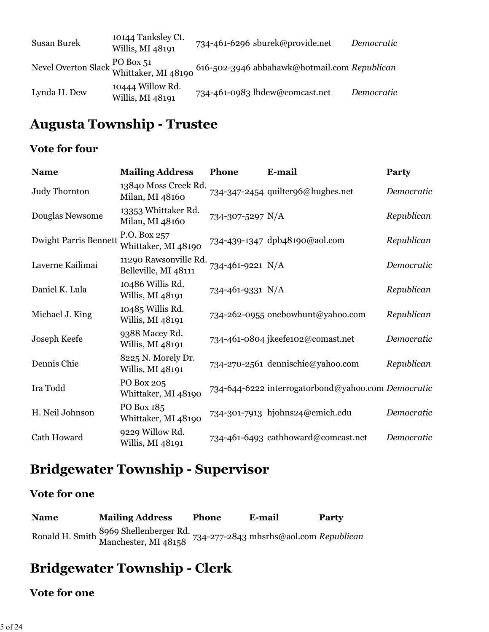| Susan Burek  | 10144 Tanksley Ct.<br>Willis, MI 48191 | 734-461-6296 sburek@provide.net                                                                                        | Democratic |
|--------------|----------------------------------------|------------------------------------------------------------------------------------------------------------------------|------------|
|              |                                        | Nevel Overton Slack $\frac{\text{PO Box }51}{\text{Whittaker, MI }48190}$ 616-502-3946 abbahawk@hotmail.com Republican |            |
| Lynda H. Dew | 10444 Willow Rd.<br>Willis, MI 48191   | 734-461-0983 lhdew@comcast.net                                                                                         | Democratic |

# **Augusta Township - Trustee**

### **Vote for four**

| <b>Name</b>                  | <b>Mailing Address</b>                        | Phone            | E-mail                                             | Party      |
|------------------------------|-----------------------------------------------|------------------|----------------------------------------------------|------------|
| Judy Thornton                | 13840 Moss Creek Rd.<br>Milan, MI 48160       |                  | 734-347-2454 quilter96@hughes.net                  | Democratic |
| Douglas Newsome              | 13353 Whittaker Rd.<br>Milan, MI 48160        | 734-307-5297 N/A |                                                    | Republican |
| <b>Dwight Parris Bennett</b> | P.O. Box 257<br>Whittaker, MI 48190           |                  | 734-439-1347 dpb48190@aol.com                      | Republican |
| Laverne Kailimai             | 11290 Rawsonville Rd.<br>Belleville, MI 48111 | 734-461-9221 N/A |                                                    | Democratic |
| Daniel K. Lula               | 10486 Willis Rd.<br>Willis, MI 48191          | 734-461-9331 N/A |                                                    | Republican |
| Michael J. King              | 10485 Willis Rd.<br>Willis, MI 48191          |                  | 734-262-0955 onebowhunt@yahoo.com                  | Republican |
| Joseph Keefe                 | 9388 Macey Rd.<br>Willis, MI 48191            |                  | 734-461-0804 jkeefe102@comast.net                  | Democratic |
| Dennis Chie                  | 8225 N. Morely Dr.<br>Willis, MI 48191        |                  | 734-270-2561 dennischie@yahoo.com                  | Republican |
| Ira Todd                     | PO Box 205<br>Whittaker, MI 48190             |                  | 734-644-6222 interrogatorbond@yahoo.com Democratic |            |
| H. Neil Johnson              | PO Box 185<br>Whittaker, MI 48190             |                  | 734-301-7913 hjohns24@emich.edu                    | Democratic |
| Cath Howard                  | 9229 Willow Rd.<br>Willis, MI 48191           |                  | 734-461-6493 cathhoward@comcast.net                | Democratic |

# **Bridgewater Township - Supervisor**

#### **Vote for one**

| <b>Name</b> | <b>Mailing Address</b>                                                                | <b>Phone</b> | E-mail | <b>Party</b> |
|-------------|---------------------------------------------------------------------------------------|--------------|--------|--------------|
|             | 8969 Shellenberger Rd.<br>Manchester, MI 48158 734-277-2843 mhsrhs@aol.com Republican |              |        |              |

# **Bridgewater Township - Clerk**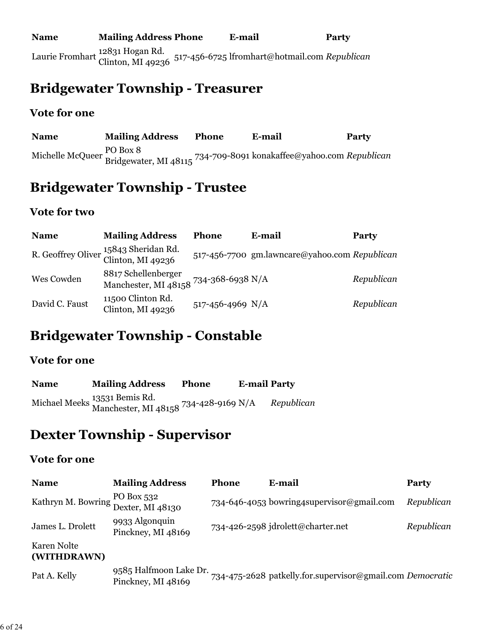### **Bridgewater Township - Treasurer**

#### **Vote for one**

**Name Mailing Address Phone E-mail Party** Michelle McQueer PO Box 8 Bridgewater, MI 48115 734-709-8091 konakaffee@yahoo.com *Republican*

### **Bridgewater Township - Trustee**

#### **Vote for two**

| <b>Name</b>    | <b>Mailing Address</b>                                       | <b>Phone</b>     | E-mail                                        | <b>Party</b> |
|----------------|--------------------------------------------------------------|------------------|-----------------------------------------------|--------------|
|                | R. Geoffrey Oliver 15843 Sheridan Rd.<br>Clinton, MI 49236   |                  | 517-456-7700 gm.lawncare@yahoo.com Republican |              |
| Wes Cowden     | 8817 Schellenberger<br>Manchester, MI 48158 734-368-6938 N/A |                  |                                               | Republican   |
| David C. Faust | 11500 Clinton Rd.<br>Clinton, MI $49236$                     | 517-456-4969 N/A |                                               | Republican   |

## **Bridgewater Township - Constable**

#### **Vote for one**

| <b>Name</b> | <b>Mailing Address</b>                                                 | <b>Phone</b> | <b>E-mail Party</b> |            |
|-------------|------------------------------------------------------------------------|--------------|---------------------|------------|
|             | Michael Meeks 13531 Bemis Rd.<br>Manchester, MI 48158 734-428-9169 N/A |              |                     | Republican |

### **Dexter Township - Supervisor**

| <b>Name</b>                                       | <b>Mailing Address</b>                       | <b>Phone</b> | E-mail                                                    | Party      |
|---------------------------------------------------|----------------------------------------------|--------------|-----------------------------------------------------------|------------|
| Kathryn M. Bowring PO Box 532<br>Dexter, MI 48130 |                                              |              | 734-646-4053 bowring4supervisor@gmail.com                 | Republican |
| James L. Drolett                                  | 9933 Algonquin<br>Pinckney, MI 48169         |              | 734-426-2598 jdrolett@charter.net                         | Republican |
| Karen Nolte<br>(WITHDRAWN)                        |                                              |              |                                                           |            |
| Pat A. Kelly                                      | 9585 Halfmoon Lake Dr.<br>Pinckney, MI 48169 |              | 734-475-2628 patkelly.for.supervisor@gmail.com Democratic |            |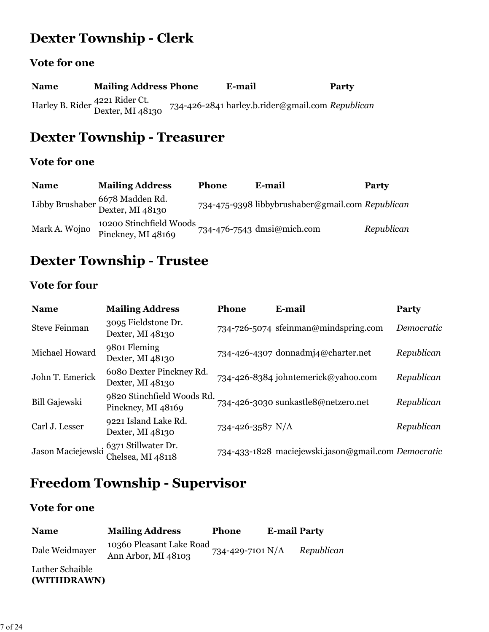## **Dexter Township - Clerk**

### **Vote for one**

| <b>Name</b> | <b>Mailing Address Phone</b>                       | E-mail                                           | Party |
|-------------|----------------------------------------------------|--------------------------------------------------|-------|
|             | Harley B. Rider 4221 Rider Ct.<br>Dexter, MI 48130 | 734-426-2841 harley.b.rider@gmail.com Republican |       |

## **Dexter Township - Treasurer**

### **Vote for one**

| <b>Name</b>   | <b>Mailing Address</b>                              | Phone | E-mail                                           | Party      |
|---------------|-----------------------------------------------------|-------|--------------------------------------------------|------------|
|               | Libby Brushaber 6678 Madden Rd.<br>Dexter, MI 48130 |       | 734-475-9398 libbybrushaber@gmail.com Republican |            |
| Mark A. Wojno | 10200 Stinchfield Woods<br>Pinckney, MI 48169       |       | 734-476-7543 dmsi@mich.com                       | Republican |

## **Dexter Township - Trustee**

### **Vote for four**

| <b>Name</b>          | <b>Mailing Address</b>                                     | <b>Phone</b>     | E-mail                                              | Party      |
|----------------------|------------------------------------------------------------|------------------|-----------------------------------------------------|------------|
| <b>Steve Feinman</b> | 3095 Fieldstone Dr.<br>Dexter, MI 48130                    |                  | 734-726-5074 sfeinman@mindspring.com                | Democratic |
| Michael Howard       | 9801 Fleming<br>Dexter, MI 48130                           |                  | 734-426-4307 donnadmj4@charter.net                  | Republican |
| John T. Emerick      | 6080 Dexter Pinckney Rd.<br>Dexter, MI 48130               |                  | 734-426-8384 johntemerick@yahoo.com                 | Republican |
| <b>Bill Gajewski</b> | 9820 Stinchfield Woods Rd.<br>Pinckney, MI 48169           |                  | 734-426-3030 sunkastle8@netzero.net                 | Republican |
| Carl J. Lesser       | 9221 Island Lake Rd.<br>Dexter, MI 48130                   | 734-426-3587 N/A |                                                     | Republican |
|                      | Jason Maciejewski 6371 Stillwater Dr.<br>Chelsea, MI 48118 |                  | 734-433-1828 maciejewski.jason@gmail.com Democratic |            |

## **Freedom Township - Supervisor**

| <b>Name</b>                    | <b>Mailing Address</b>                          | <b>Phone</b>     | <b>E-mail Party</b> |            |
|--------------------------------|-------------------------------------------------|------------------|---------------------|------------|
| Dale Weidmayer                 | 10360 Pleasant Lake Road<br>Ann Arbor, MI 48103 | 734-429-7101 N/A |                     | Republican |
| Luther Schaible<br>(WITHDRAWN) |                                                 |                  |                     |            |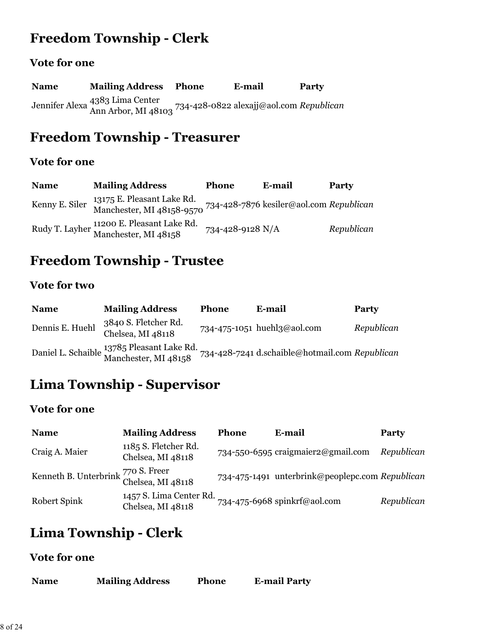## **Freedom Township - Clerk**

### **Vote for one**

| <b>Name</b> | <b>Mailing Address Phone</b>                                                                   | E-mail | Party |
|-------------|------------------------------------------------------------------------------------------------|--------|-------|
|             | Jennifer Alexa 4383 Lima Center<br>Ann Arbor, MI 48103 734-428-0822 alexajj@aol.com Republican |        |       |

## **Freedom Township - Treasurer**

### **Vote for one**

| <b>Name</b>    | <b>Mailing Address</b>                                                                                            | Phone            | E-mail | Party      |
|----------------|-------------------------------------------------------------------------------------------------------------------|------------------|--------|------------|
| Kenny E. Siler | 13175 E. Pleasant Lake Rd.<br>Manchester, MI 48158-9570 <sup>734-428-7876</sup> kesiler@aol.com <i>Republican</i> |                  |        |            |
|                | Rudy T. Layher 11200 E. Pleasant Lake Rd.<br>Manchester, MI 48158                                                 | 734-428-9128 N/A |        | Republican |

## **Freedom Township - Trustee**

#### **Vote for two**

| <b>Name</b>     | <b>Mailing Address</b>                                             | <b>Phone</b> | E-mail                                         | Party      |
|-----------------|--------------------------------------------------------------------|--------------|------------------------------------------------|------------|
| Dennis E. Huehl | 3840 S. Fletcher Rd.<br>Chelsea, MI 48118                          |              | 734-475-1051 huehl3@aol.com                    | Republican |
|                 | Daniel L. Schaible 13785 Pleasant Lake Rd.<br>Manchester, MI 48158 |              | 734-428-7241 d.schaible@hotmail.com Republican |            |

# **Lima Township - Supervisor**

#### **Vote for one**

| <b>Name</b>                                             | <b>Mailing Address</b>                       | <b>Phone</b> | E-mail                                          | <b>Party</b> |
|---------------------------------------------------------|----------------------------------------------|--------------|-------------------------------------------------|--------------|
| Craig A. Maier                                          | 1185 S. Fletcher Rd.<br>Chelsea, MI 48118    |              | 734-550-6595 craigmaier2@gmail.com              | Republican   |
| Kenneth B. Unterbrink 770 S. Freer<br>Chelsea, MI 48118 |                                              |              | 734-475-1491 unterbrink@peoplepc.com Republican |              |
| Robert Spink                                            | 1457 S. Lima Center Rd.<br>Chelsea, MI 48118 |              | 734-475-6968 spinkrf@aol.com                    | Republican   |

## **Lima Township - Clerk**

| <b>Name</b> | <b>Mailing Address</b> | <b>Phone</b> | <b>E-mail Party</b> |
|-------------|------------------------|--------------|---------------------|
|             |                        |              |                     |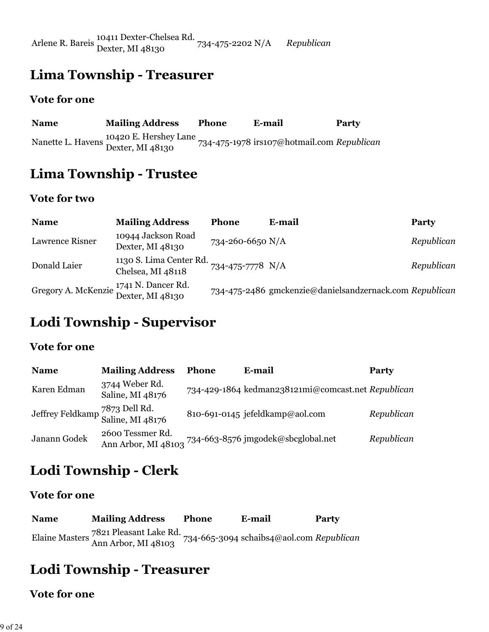Arlene R. Bareis 10411 Dexter-Chelsea Rd. Dexter, MI 48130 734-475-2202 N/A *Republican*

### **Lima Township - Treasurer**

#### **Vote for one**

| <b>Name</b> | <b>Mailing Address</b>                                      | <b>Phone</b> | E-mail                                     | <b>Party</b> |
|-------------|-------------------------------------------------------------|--------------|--------------------------------------------|--------------|
|             | 10420 E. Hershey Lane<br>Nanette L. Havens Dexter, MI 48130 |              | 734-475-1978 irs107@hotmail.com Republican |              |

### **Lima Township - Trustee**

#### **Vote for two**

| <b>Name</b>                                                           | <b>Mailing Address</b>                       | <b>Phone</b>     | E-mail                                                  | Party      |
|-----------------------------------------------------------------------|----------------------------------------------|------------------|---------------------------------------------------------|------------|
| <b>Lawrence Risner</b>                                                | 10944 Jackson Road<br>Dexter, MI 48130       | 734-260-6650 N/A |                                                         | Republican |
| Donald Laier                                                          | 1130 S. Lima Center Rd.<br>Chelsea, MI 48118 | 734-475-7778 N/A |                                                         | Republican |
| Gregory A. McKenzie <sup>1741</sup> N. Dancer Rd.<br>Dexter, MI 48130 |                                              |                  | 734-475-2486 gmckenzie@danielsandzernack.com Republican |            |

## **Lodi Township - Supervisor**

#### **Vote for one**

| <b>Name</b>                                        | <b>Mailing Address</b>                  | <b>Phone</b> | E-mail                                             | <b>Party</b> |
|----------------------------------------------------|-----------------------------------------|--------------|----------------------------------------------------|--------------|
| Karen Edman                                        | 3744 Weber Rd.<br>Saline, MI 48176      |              | 734-429-1864 kedman238121mi@comcast.net Republican |              |
| Jeffrey Feldkamp 7873 Dell Rd.<br>Saline, MI 48176 |                                         |              | 810-691-0145 jefeldkamp@aol.com                    | Republican   |
| Janann Godek                                       | 2600 Tessmer Rd.<br>Ann Arbor, MI 48103 |              | 734-663-8576 jmgodek@sbcglobal.net                 | Republican   |

## **Lodi Township - Clerk**

#### **Vote for one**

**Name Mailing Address Phone E-mail Party** Elaine Masters 7821 Pleasant Lake Rd. Ann Arbor, MI 48103 734-665-3094 schaibs4@aol.com *Republican*

### **Lodi Township - Treasurer**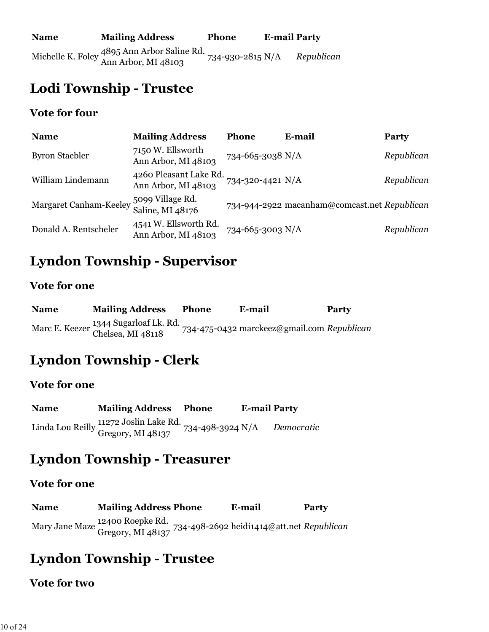## **Lodi Township - Trustee**

#### **Vote for four**

| <b>Name</b>                                         | <b>Mailing Address</b>                        | <b>Phone</b>     | E-mail                                       | <b>Party</b> |
|-----------------------------------------------------|-----------------------------------------------|------------------|----------------------------------------------|--------------|
| <b>Byron Staebler</b>                               | 7150 W. Ellsworth<br>Ann Arbor, MI 48103      | 734-665-3038 N/A |                                              | Republican   |
| William Lindemann                                   | 4260 Pleasant Lake Rd.<br>Ann Arbor, MI 48103 | 734-320-4421 N/A |                                              | Republican   |
| Margaret Canham-Keeley $\frac{5099}{9}$ Village Rd. | Saline, MI 48176                              |                  | 734-944-2922 macanham@comcast.net Republican |              |
| Donald A. Rentscheler                               | 4541 W. Ellsworth Rd.<br>Ann Arbor, MI 48103  | 734-665-3003 N/A |                                              | Republican   |

## **Lyndon Township - Supervisor**

#### **Vote for one**

| <b>Name</b> | <b>Mailing Address</b>                                     | <b>Phone</b> | E-mail                                     | Party |
|-------------|------------------------------------------------------------|--------------|--------------------------------------------|-------|
|             | Marc E. Keezer 1344 Sugarloaf Lk. Rd.<br>Chelsea, MI 48118 |              | 734-475-0432 marckeez@gmail.com Republican |       |

## **Lyndon Township - Clerk**

#### **Vote for one**

**Name Mailing Address Phone E-mail Party** Linda Lou Reilly 11272 Joslin Lake Rd. Gregory, MI 48137 734-498-3924 N/A *Democratic*

### **Lyndon Township - Treasurer**

#### **Vote for one**

**Name Mailing Address Phone E-mail Party** Mary Jane Maze 12400 Roepke Rd. Gregory, MI 48137 734-498-2692 heidi1414@att.net *Republican*

## **Lyndon Township - Trustee**

#### **Vote for two**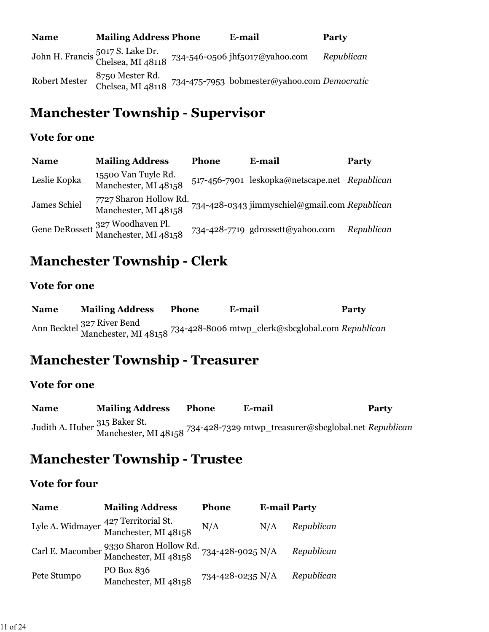| <b>Name</b>          | <b>Mailing Address Phone</b>         | E-mail                                                                               | <b>Party</b> |
|----------------------|--------------------------------------|--------------------------------------------------------------------------------------|--------------|
|                      |                                      | John H. Francis 5017 S. Lake Dr.<br>Chelsea, MI 48118 734-546-0506 jhf5017@yahoo.com | Republican   |
| <b>Robert Mester</b> | 8750 Mester Rd.<br>Chelsea, MI 48118 | 734-475-7953 bobmester@yahoo.com Democratic                                          |              |

## **Manchester Township - Supervisor**

#### **Vote for one**

| <b>Name</b>  | <b>Mailing Address</b>                         | <b>Phone</b> | E-mail                                        | <b>Party</b> |
|--------------|------------------------------------------------|--------------|-----------------------------------------------|--------------|
| Leslie Kopka | 15500 Van Tuyle Rd.<br>Manchester, MI 48158    |              | 517-456-7901 leskopka@netscape.net Republican |              |
| James Schiel | 7727 Sharon Hollow Rd.<br>Manchester, MI 48158 |              | 734-428-0343 jimmyschiel@gmail.com Republican |              |
|              | Gene DeRossett Manchester, MI 48158            |              | 734-428-7719 gdrossett@yahoo.com              | Republican   |

## **Manchester Township - Clerk**

#### **Vote for one**

| <b>Name</b> | <b>Mailing Address</b> | <b>Phone</b> | E-mail                                                                                              | <b>Party</b> |
|-------------|------------------------|--------------|-----------------------------------------------------------------------------------------------------|--------------|
|             |                        |              | Ann Becktel 327 River Bend<br>Manchester, MI 48158 734-428-8006 mtwp_clerk@sbcglobal.com Republican |              |

### **Manchester Township - Treasurer**

#### **Vote for one**

**Name Mailing Address Phone E-mail Party** Judith A. Huber 315 Baker St. Manchester, MI 48158 734-428-7329 mtwp\_treasurer@sbcglobal.net *Republican*

### **Manchester Township - Trustee**

#### **Vote for four**

| <b>Name</b> | <b>Mailing Address</b>                                                        | <b>Phone</b>     | <b>E-mail Party</b> |            |
|-------------|-------------------------------------------------------------------------------|------------------|---------------------|------------|
|             | Lyle A. Widmayer <sup>427</sup> Territorial St.<br>Manchester, MI 48158       | N/A              | N/A                 | Republican |
|             | Carl E. Macomber 9330 Sharon Hollow Rd. 734-428-9025 N/A Manchester, MI 48158 |                  |                     | Republican |
| Pete Stumpo | PO Box 836<br>Manchester, MI 48158                                            | 734-428-0235 N/A |                     | Republican |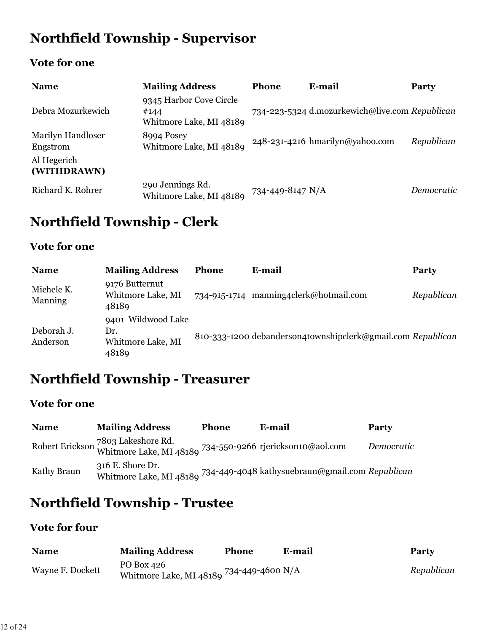# **Northfield Township - Supervisor**

### **Vote for one**

| <b>Name</b>                          | <b>Mailing Address</b>                                     | <b>Phone</b>     | E-mail                                         | Party      |
|--------------------------------------|------------------------------------------------------------|------------------|------------------------------------------------|------------|
| Debra Mozurkewich                    | 9345 Harbor Cove Circle<br>#144<br>Whitmore Lake, MI 48189 |                  | 734-223-5324 d.mozurkewich@live.com Republican |            |
| <b>Marilyn Handloser</b><br>Engstrom | 8994 Posey<br>Whitmore Lake, MI 48189                      |                  | 248-231-4216 hmarilyn@yahoo.com                | Republican |
| Al Hegerich<br>(WITHDRAWN)           |                                                            |                  |                                                |            |
| Richard K. Rohrer                    | 290 Jennings Rd.<br>Whitmore Lake, MI 48189                | 734-449-8147 N/A |                                                | Democratic |

# **Northfield Township - Clerk**

#### **Vote for one**

| <b>Name</b>            | <b>Mailing Address</b>                                  | <b>Phone</b> | E-mail                                                      | Party      |
|------------------------|---------------------------------------------------------|--------------|-------------------------------------------------------------|------------|
| Michele K.<br>Manning  | 9176 Butternut<br>Whitmore Lake, MI<br>48189            | 734-915-1714 | manning4clerk@hotmail.com                                   | Republican |
| Deborah J.<br>Anderson | 9401 Wildwood Lake<br>Dr.<br>Whitmore Lake, MI<br>48189 |              | 810-333-1200 debanderson4townshipclerk@gmail.com Republican |            |

## **Northfield Township - Treasurer**

### **Vote for one**

| <b>Name</b> | <b>Mailing Address</b>                                                                          | <b>Phone</b> | E-mail                                          | <b>Party</b> |
|-------------|-------------------------------------------------------------------------------------------------|--------------|-------------------------------------------------|--------------|
|             | Robert Erickson 7803 Lakeshore Rd.<br>Whitmore Lake, MI 48189 734-550-9266 rjerickson10@aol.com |              |                                                 | Democratic   |
| Kathy Braun | 316 E. Shore Dr.<br>Whitmore Lake, MI 48189                                                     |              | 734-449-4048 kathysuebraun@gmail.com Republican |              |

## **Northfield Township - Trustee**

### **Vote for four**

| <b>Name</b>      | <b>Mailing Address</b>                                         | <b>Phone</b> | E-mail | <b>Party</b> |
|------------------|----------------------------------------------------------------|--------------|--------|--------------|
| Wayne F. Dockett | PO Box 426<br>" Whitmore Lake, MI 48180 $^{734}$ -449-4600 N/A |              |        | Republican   |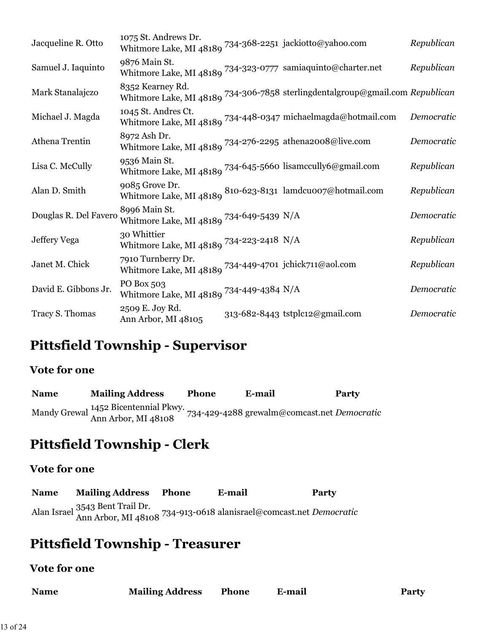| Jacqueline R. Otto    | 1075 St. Andrews Dr.<br>Whitmore Lake, MI 48189 734-368-2251 jackiotto@yahoo.com                    |                                                                               | Republican |
|-----------------------|-----------------------------------------------------------------------------------------------------|-------------------------------------------------------------------------------|------------|
| Samuel J. Iaquinto    | 9876 Main St.<br>Whitmore Lake, MI 48189 $^{734-323-0777}$ samiaquinto@charter.net                  |                                                                               | Republican |
| Mark Stanalajczo      | 8352 Kearney Rd.                                                                                    | Whitmore Lake, MI 48189 734-306-7858 sterlingdentalgroup@gmail.com Republican |            |
| Michael J. Magda      | 1045 St. Andres Ct.                                                                                 | Whitmore Lake, MI 48189 <sup>734-448-0347</sup> michaelmagda@hotmail.com      | Democratic |
| Athena Trentin        | 8972 Ash Dr.<br>Whitmore Lake, MI 48189 $734$ -276-2295 athena2008@live.com                         |                                                                               | Democratic |
| Lisa C. McCully       | 9536 Main St.<br>Whitmore Lake, MI 48189 $^{734\text{-}645\text{-}5660}$ lisamccully<br>6@gmail.com |                                                                               | Republican |
| Alan D. Smith         | 9085 Grove Dr.                                                                                      | Whitmore Lake, MI 48189 810-623-8131 lamdcuoo7@hotmail.com                    | Republican |
| Douglas R. Del Favero | 8996 Main St.<br>Whitmore Lake, MI 48189 734-649-5439 N/A                                           |                                                                               | Democratic |
| Jeffery Vega          | 30 Whittier<br>Whitmore Lake, MI 48189 734-223-2418 N/A                                             |                                                                               | Republican |
| Janet M. Chick        | 7910 Turnberry Dr.<br>Whitmore Lake, MI 48189 $^{734-449-4701}$ jchick711@aol.com                   |                                                                               | Republican |
| David E. Gibbons Jr.  | PO Box 503<br>Whitmore Lake, MI 48189 $^{734\text{-}449\text{-}4384}$ N/A                           |                                                                               | Democratic |
| Tracy S. Thomas       | 2509 E. Joy Rd.<br>Ann Arbor, MI 48105                                                              | 313-682-8443 tstplc12@gmail.com                                               | Democratic |

### **Pittsfield Township - Supervisor**

#### **Vote for one**

**Name Mailing Address Phone E-mail Party** Mandy Grewal 1452 Bicentennial Pkwy. Ann Arbor, MI 48108 734-429-4288 grewalm@comcast.net *Democratic*

## **Pittsfield Township - Clerk**

#### **Vote for one**

**Name Mailing Address Phone E-mail Party** Alan Israel 3543 Bent Trail Dr. Ann Arbor, MI 48108 734-913-0618 alanisrael@comcast.net *Democratic*

### **Pittsfield Township - Treasurer**

| <b>Name</b> | <b>Mailing Address</b> | Phone | E-mail | <b>Party</b> |
|-------------|------------------------|-------|--------|--------------|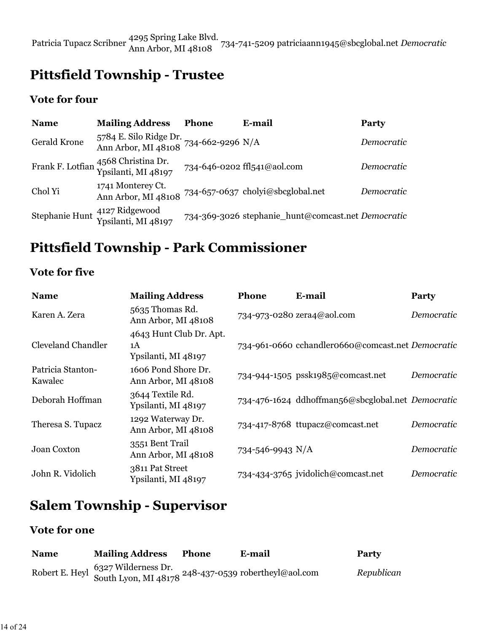Patricia Tupacz Scribner 4295 Spring Lake Blvd. Ann Arbor, MI 48108 734-741-5209 patriciaann1945@sbcglobal.net *Democratic*

## **Pittsfield Township - Trustee**

#### **Vote for four**

| <b>Name</b>         | <b>Mailing Address</b>                                                          | <b>Phone</b> | E-mail                                             | Party      |
|---------------------|---------------------------------------------------------------------------------|--------------|----------------------------------------------------|------------|
| <b>Gerald Krone</b> | 5784 E. Silo Ridge Dr. 734-662-9296 N/A<br>Ann Arbor, MI 48108 734-662-9296 N/A |              |                                                    | Democratic |
|                     | Frank F. Lotfian 4568 Christina Dr.<br>Ypsilanti, MI 48197                      |              | 734-646-0202 ffl541@aol.com                        | Democratic |
| Chol Yi             | 1741 Monterey Ct.<br>Ann Arbor, MI 48108                                        |              | 734-657-0637 cholyi@sbcglobal.net                  | Democratic |
|                     | Stephanie Hunt <sup>4127</sup> Ridgewood<br>Ypsilanti, MI 48197                 |              | 734-369-3026 stephanie_hunt@comcast.net Democratic |            |

## **Pittsfield Township - Park Commissioner**

#### **Vote for five**

| <b>Name</b>                  | <b>Mailing Address</b>                               | <b>Phone</b>     | <b>E-mail</b>                                     | Party      |
|------------------------------|------------------------------------------------------|------------------|---------------------------------------------------|------------|
| Karen A. Zera                | 5635 Thomas Rd.<br>Ann Arbor, MI 48108               |                  | 734-973-0280 zera4@aol.com                        | Democratic |
| Cleveland Chandler           | 4643 Hunt Club Dr. Apt.<br>1A<br>Ypsilanti, MI 48197 |                  | 734-961-0660 cchandler0660@comcast.net Democratic |            |
| Patricia Stanton-<br>Kawalec | 1606 Pond Shore Dr.<br>Ann Arbor, MI 48108           |                  | 734-944-1505 pssk1985@comcast.net                 | Democratic |
| Deborah Hoffman              | 3644 Textile Rd.<br>Ypsilanti, MI 48197              |                  | 734-476-1624 ddhoffman56@sbcglobal.net Democratic |            |
| Theresa S. Tupacz            | 1292 Waterway Dr.<br>Ann Arbor, MI 48108             |                  | 734-417-8768 ttupacz@comcast.net                  | Democratic |
| Joan Coxton                  | 3551 Bent Trail<br>Ann Arbor, MI 48108               | 734-546-9943 N/A |                                                   | Democratic |
| John R. Vidolich             | 3811 Pat Street<br>Ypsilanti, MI 48197               |                  | 734-434-3765 jvidolich@comcast.net                | Democratic |

## **Salem Township - Supervisor**

| <b>Name</b> | <b>Mailing Address</b> | Phone | E-mail                                                                                   | Party      |
|-------------|------------------------|-------|------------------------------------------------------------------------------------------|------------|
|             |                        |       | hert E. Heyl 6327 Wilderness Dr.<br>South Lyon, MI 48178 248-437-0539 robertheyl@aol.com | Republican |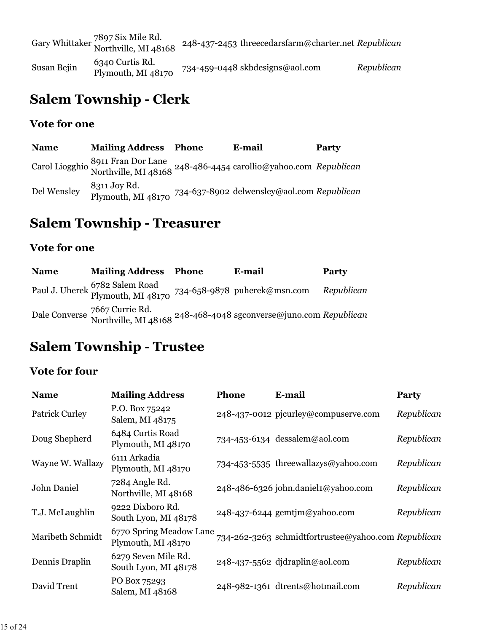|             | Gary Whittaker 7897 Six Mile Rd.<br>Northville, MI 48168 | 248-437-2453 threecedarsfarm@charter.net Republican |            |
|-------------|----------------------------------------------------------|-----------------------------------------------------|------------|
| Susan Bejin | 6340 Curtis Rd.<br>Plymouth, MI 48170                    | 734-459-0448 skbdesigns@aol.com                     | Republican |

## **Salem Township - Clerk**

#### **Vote for one**

**Name Mailing Address Phone E-mail Party** Carol Liogghio 8911 Fran Dor Lane Northville, MI 48168 248-486-4454 carollio@yahoo.com *Republican* Del Wensley 8311 Joy Rd. Plymouth, MI 48170 734-637-8902 delwensley@aol.com *Republican*

### **Salem Township - Treasurer**

#### **Vote for one**

| <b>Name</b> | <b>Mailing Address</b>                                                            | Phone | E-mail                                                                                                       | <b>Party</b> |
|-------------|-----------------------------------------------------------------------------------|-------|--------------------------------------------------------------------------------------------------------------|--------------|
|             | Paul J. Uherek 6782 Salem Road<br>Plymouth, MI 48170 734-658-9878 puherek@msn.com |       |                                                                                                              | Republican   |
|             |                                                                                   |       | Dale Converse 7667 Currie Rd.<br>Northville, MI 48168 <sup>248-468-4048</sup> sgconverse@juno.com Republican |              |

### **Salem Township - Trustee**

### **Vote for four**

| <b>Name</b>           | <b>Mailing Address</b>                        | <b>Phone</b> | E-mail                                              | <b>Party</b> |
|-----------------------|-----------------------------------------------|--------------|-----------------------------------------------------|--------------|
| <b>Patrick Curley</b> | P.O. Box 75242<br>Salem, MI 48175             |              | 248-437-0012 pjcurley@compuserve.com                | Republican   |
| Doug Shepherd         | 6484 Curtis Road<br>Plymouth, MI 48170        |              | 734-453-6134 dessalem@aol.com                       | Republican   |
| Wayne W. Wallazy      | 6111 Arkadia<br>Plymouth, MI 48170            |              | 734-453-5535 threewallazys@yahoo.com                | Republican   |
| John Daniel           | 7284 Angle Rd.<br>Northville, MI 48168        |              | 248-486-6326 john.daniel1@yahoo.com                 | Republican   |
| T.J. McLaughlin       | 9222 Dixboro Rd.<br>South Lyon, MI 48178      |              | 248-437-6244 gemtjm@yahoo.com                       | Republican   |
| Maribeth Schmidt      | 6770 Spring Meadow Lane<br>Plymouth, MI 48170 |              | 734-262-3263 schmidtfortrustee@yahoo.com Republican |              |
| Dennis Draplin        | 6279 Seven Mile Rd.<br>South Lyon, MI 48178   |              | 248-437-5562 djdraplin@aol.com                      | Republican   |
| David Trent           | PO Box 75293<br>Salem, MI 48168               |              | 248-982-1361 dtrents@hotmail.com                    | Republican   |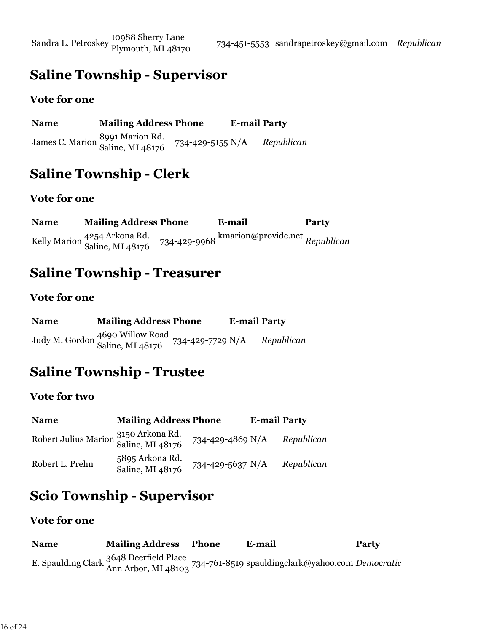Sandra L. Petroskey 10988 Sherry Lane

## **Saline Township - Supervisor**

#### **Vote for one**

| <b>Name</b> | <b>Mailing Address Phone</b>                        |                  | <b>E-mail Party</b> |            |
|-------------|-----------------------------------------------------|------------------|---------------------|------------|
|             | James C. Marion 8991 Marion Rd.<br>Saline, MI 48176 | 734-429-5155 N/A |                     | Republican |

## **Saline Township - Clerk**

#### **Vote for one**

**Name Mailing Address Phone E-mail Party** Kelly Marion 4254 Arkona Rd. Saline, MI 48176 734-429-9968 kmarion@provide.net *Republican*

### **Saline Township - Treasurer**

#### **Vote for one**

| <b>Name</b> | <b>Mailing Address Phone</b>                                         | <b>E-mail Party</b> |            |
|-------------|----------------------------------------------------------------------|---------------------|------------|
|             | Judy M. Gordon 4690 Willow Road<br>Saline, MI 48176 734-429-7729 N/A |                     | Republican |

### **Saline Township - Trustee**

#### **Vote for two**

| <b>Name</b>                                              | <b>Mailing Address Phone</b>        |                  | <b>E-mail Party</b> |            |
|----------------------------------------------------------|-------------------------------------|------------------|---------------------|------------|
| Robert Julius Marion 3150 Arkona Rd.<br>Saline, MI 48176 |                                     | 734-429-4869 N/A |                     | Republican |
| Robert L. Prehn                                          | 5895 Arkona Rd.<br>Saline, MI 48176 | 734-429-5637 N/A |                     | Republican |

## **Scio Township - Supervisor**

#### **Vote for one**

**Name Mailing Address Phone E-mail Party** E. Spaulding Clark 3648 Deerfield Place Ann Arbor, MI 48103 734-761-8519 spauldingclark@yahoo.com *Democratic*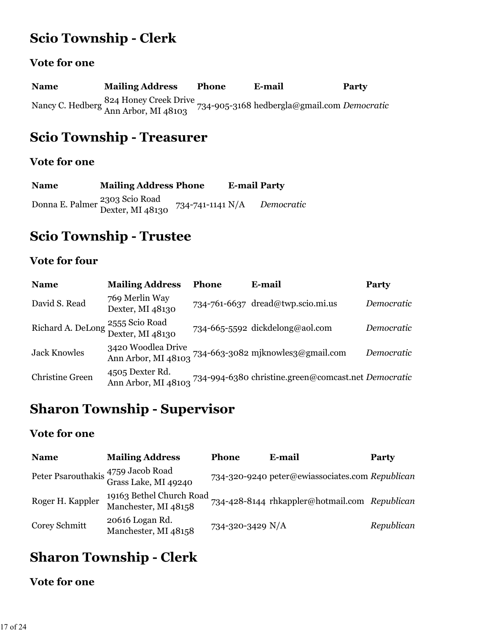## **Scio Township - Clerk**

#### **Vote for one**

**Name Mailing Address Phone E-mail Party** Nancy C. Hedberg 824 Honey Creek Drive Ann Arbor, MI 48103 734-905-3168 hedbergla@gmail.com *Democratic*

### **Scio Township - Treasurer**

#### **Vote for one**

| <b>Name</b> | <b>Mailing Address Phone</b>                                  |                  | <b>E-mail Party</b> |            |
|-------------|---------------------------------------------------------------|------------------|---------------------|------------|
|             | Donna E. Palmer <sup>2303</sup> Scio Road<br>Dexter, MI 48130 | 734-741-1141 N/A |                     | Democratic |

### **Scio Township - Trustee**

### **Vote for four**

| <b>Name</b>            | <b>Mailing Address</b>                                  | <b>Phone</b> | E-mail                                              | Party      |
|------------------------|---------------------------------------------------------|--------------|-----------------------------------------------------|------------|
| David S. Read          | 769 Merlin Way<br>Dexter, MI 48130                      |              | 734-761-6637 dread@twp.scio.mi.us                   | Democratic |
|                        | 2555 Scio Road<br>Richard A. DeLong 2000 November 20130 |              | 734-665-5592 dickdelong@aol.com                     | Democratic |
| <b>Jack Knowles</b>    | 3420 Woodlea Drive<br>Ann Arbor, MI 48103               |              | 734-663-3082 mjknowles3@gmail.com                   | Democratic |
| <b>Christine Green</b> | 4505 Dexter Rd.<br>Ann Arbor, MI 48103                  |              | 734-994-6380 christine.green@comcast.net Democratic |            |

### **Sharon Township - Supervisor**

#### **Vote for one**

| <b>Name</b>      | <b>Mailing Address</b>                                     | <b>Phone</b>     | E-mail                                          | <b>Party</b> |
|------------------|------------------------------------------------------------|------------------|-------------------------------------------------|--------------|
|                  | Peter Psarouthakis 4759 Jacob Road<br>Grass Lake, MI 49240 |                  | 734-320-9240 peter@ewiassociates.com Republican |              |
| Roger H. Kappler | 19163 Bethel Church Road<br>Manchester, MI 48158           |                  | 734-428-8144 rhkappler@hotmail.com Republican   |              |
| Corey Schmitt    | 20616 Logan Rd.<br>Manchester, MI 48158                    | 734-320-3429 N/A |                                                 | Republican   |

## **Sharon Township - Clerk**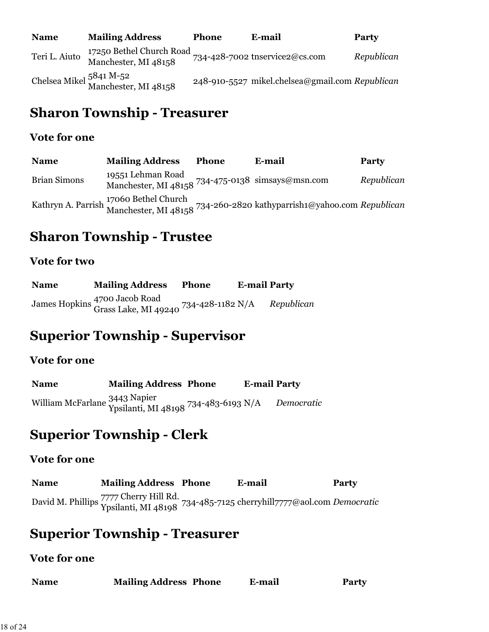| <b>Name</b>   | <b>Mailing Address</b>                           | <b>Phone</b> | E-mail                                          | Party      |
|---------------|--------------------------------------------------|--------------|-------------------------------------------------|------------|
| Teri L. Aiuto | 17250 Bethel Church Road<br>Manchester, MI 48158 |              | 734-428-7002 tnservice2@cs.com                  | Republican |
|               | Chelsea Mikel 5841 M-52<br>Manchester, MI 48158  |              | 248-910-5527 mikel.chelsea@gmail.com Republican |            |

## **Sharon Township - Treasurer**

#### **Vote for one**

| <b>Name</b>         | <b>Mailing Address</b>                                                 | <b>Phone</b> | E-mail                                                                                                         | <b>Party</b> |
|---------------------|------------------------------------------------------------------------|--------------|----------------------------------------------------------------------------------------------------------------|--------------|
| <b>Brian Simons</b> | 19551 Lehman Road<br>Manchester, MI 48158 734-475-0138 simsays@msn.com |              |                                                                                                                | Republican   |
|                     |                                                                        |              | Kathryn A. Parrish 17060 Bethel Church<br>Manchester, MI 48158 734-260-2820 kathyparrish1@yahoo.com Republican |              |

## **Sharon Township - Trustee**

### **Vote for two**

| <b>Name</b> | <b>Mailing Address</b>                                                                       | <b>Phone</b> | <b>E-mail Party</b> |            |
|-------------|----------------------------------------------------------------------------------------------|--------------|---------------------|------------|
|             | James Hopkins <sup>4700</sup> Jacob Road<br>Grass Lake, MI 49240 <sup>734-428-1182</sup> N/A |              |                     | Republican |

### **Superior Township - Supervisor**

#### **Vote for one**

| <b>Name</b> | <b>Mailing Address Phone</b>                                          | <b>E-mail Party</b> |            |
|-------------|-----------------------------------------------------------------------|---------------------|------------|
|             | William McFarlane 3443 Napier<br>Ypsilanti, MI 48198 734-483-6193 N/A |                     | Democratic |

## **Superior Township - Clerk**

#### **Vote for one**

| <b>Name</b> | <b>Mailing Address Phone</b> | E-mail                                                                                                        | Party |
|-------------|------------------------------|---------------------------------------------------------------------------------------------------------------|-------|
|             |                              | David M. Phillips 7777 Cherry Hill Rd.<br>Ypsilanti, MI 48198 734-485-7125 cherryhill 7777@aol.com Democratic |       |

### **Superior Township - Treasurer**

| <b>Name</b> | <b>Mailing Address Phone</b> | E-mail | <b>Party</b> |
|-------------|------------------------------|--------|--------------|
|-------------|------------------------------|--------|--------------|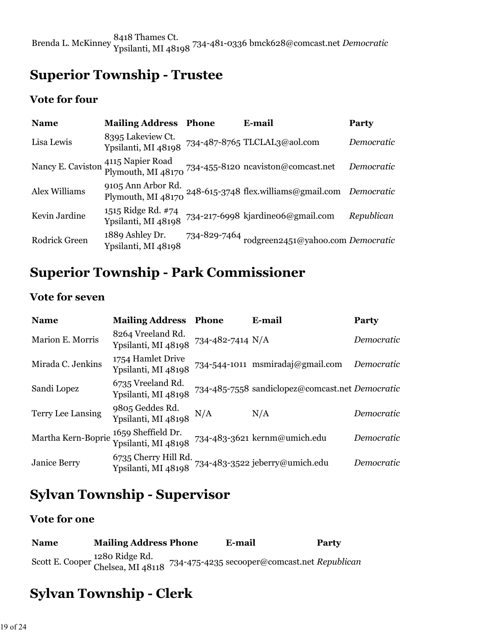# **Superior Township - Trustee**

#### **Vote for four**

| <b>Name</b>       | <b>Mailing Address</b>                    | <b>Phone</b> | E-mail                                                    | Party      |
|-------------------|-------------------------------------------|--------------|-----------------------------------------------------------|------------|
| Lisa Lewis        | 8395 Lakeview Ct.<br>Ypsilanti, MI 48198  |              | 734-487-8765 TLCLAL3@aol.com                              | Democratic |
| Nancy E. Caviston | 4115 Napier Road<br>Plymouth, MI 48170    |              | 734-455-8120 ncaviston@comcast.net                        | Democratic |
| Alex Williams     | 9105 Ann Arbor Rd.<br>Plymouth, MI 48170  |              | 248-615-3748 flex.williams@gmail.com Democratic           |            |
| Kevin Jardine     | 1515 Ridge Rd. #74<br>Ypsilanti, MI 48198 |              | 734-217-6998 kjardine06@gmail.com                         | Republican |
| Rodrick Green     | 1889 Ashley Dr.<br>Ypsilanti, MI 48198    |              | 734-829-7464 $_{\rm{rodgreen2451@yahoo.com}$ $Democratic$ |            |

## **Superior Township - Park Commissioner**

#### **Vote for seven**

| <b>Name</b>              | <b>Mailing Address</b>                      | <b>Phone</b>     | E-mail                                          | <b>Party</b> |
|--------------------------|---------------------------------------------|------------------|-------------------------------------------------|--------------|
| Marion E. Morris         | 8264 Vreeland Rd.<br>Ypsilanti, MI 48198    | 734-482-7414 N/A |                                                 | Democratic   |
| Mirada C. Jenkins        | 1754 Hamlet Drive<br>Ypsilanti, MI 48198    |                  | 734-544-1011 msmiradaj@gmail.com                | Democratic   |
| Sandi Lopez              | 6735 Vreeland Rd.<br>Ypsilanti, MI 48198    |                  | 734-485-7558 sandiclopez@comcast.net Democratic |              |
| <b>Terry Lee Lansing</b> | 9805 Geddes Rd.<br>Ypsilanti, MI 48198      | N/A              | N/A                                             | Democratic   |
| Martha Kern-Boprie       | 1659 Sheffield Dr.<br>Ypsilanti, MI 48198   |                  | 734-483-3621 kernm@umich.edu                    | Democratic   |
| <b>Janice Berry</b>      | 6735 Cherry Hill Rd.<br>Ypsilanti, MI 48198 |                  | 734-483-3522 jeberry@umich.edu                  | Democratic   |

## **Sylvan Township - Supervisor**

#### **Vote for one**

| <b>Name</b> | <b>Mailing Address Phone</b>                        | E-mail                                       | Party |
|-------------|-----------------------------------------------------|----------------------------------------------|-------|
|             | Scott E. Cooper 1280 Ridge Rd.<br>Chelsea, MI 48118 | 734-475-4235 secooper@comcast.net Republican |       |

# **Sylvan Township - Clerk**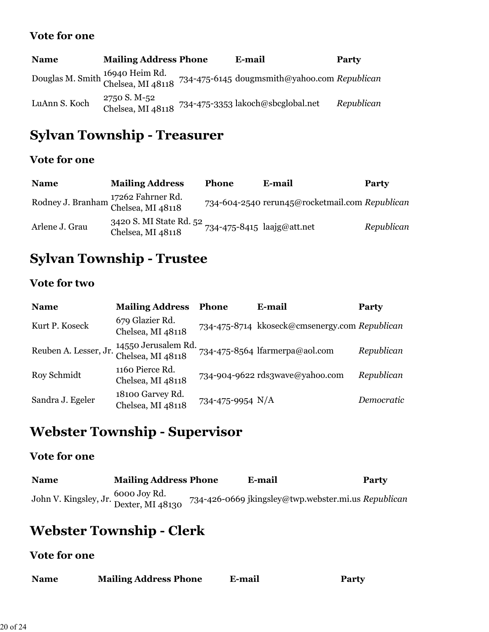#### **Vote for one**

| <b>Name</b>   | <b>Mailing Address Phone</b>      | E-mail                                                                                            | Party      |
|---------------|-----------------------------------|---------------------------------------------------------------------------------------------------|------------|
|               |                                   | Douglas M. Smith 16940 Heim Rd.<br>Chelsea, MI 48118 734-475-6145 dougmsmith@yahoo.com Republican |            |
| LuAnn S. Koch | 2750 S. M-52<br>Chelsea, MI 48118 | 734-475-3353 lakoch@sbcglobal.net                                                                 | Republican |

# **Sylvan Township - Treasurer**

#### **Vote for one**

| <b>Name</b>                                              | <b>Mailing Address</b>                                                     | <b>Phone</b> | E-mail                                         | Party      |
|----------------------------------------------------------|----------------------------------------------------------------------------|--------------|------------------------------------------------|------------|
| Rodney J. Branham 17262 Fahrner Rd.<br>Chelsea, MI 48118 |                                                                            |              | 734-604-2540 rerun45@rocketmail.com Republican |            |
| Arlene J. Grau                                           | 3420 S. MI State Rd. 52<br>734-475-8415 laajg@att.net<br>Chelsea, MI 48118 |              |                                                | Republican |

# **Sylvan Township - Trustee**

### **Vote for two**

| <b>Name</b>           | <b>Mailing Address</b>                   | <b>Phone</b>     | E-mail                                        | <b>Party</b> |
|-----------------------|------------------------------------------|------------------|-----------------------------------------------|--------------|
| Kurt P. Koseck        | 679 Glazier Rd.<br>Chelsea, MI 48118     |                  | 734-475-8714 kkoseck@cmsenergy.com Republican |              |
| Reuben A. Lesser, Jr. | 14550 Jerusalem Rd.<br>Chelsea, MI 48118 |                  | 734-475-8564 lfarmerpa@aol.com                | Republican   |
| Roy Schmidt           | 1160 Pierce Rd.<br>Chelsea, MI 48118     |                  | 734-904-9622 rds3wave@yahoo.com               | Republican   |
| Sandra J. Egeler      | 18100 Garvey Rd.<br>Chelsea, MI 48118    | 734-475-9954 N/A |                                               | Democratic   |

# **Webster Township - Supervisor**

#### **Vote for one**

| <b>Name</b>                                                                    | <b>Mailing Address Phone</b> | E-mail                                              | <b>Party</b> |
|--------------------------------------------------------------------------------|------------------------------|-----------------------------------------------------|--------------|
| <sup>1</sup> ohn V. Kingsley, Jr. <sup>6000 Joy Rd.<br/>Dexter, MI 48130</sup> |                              | 734-426-0669 jkingsley@twp.webster.mi.us Republican |              |

# **Webster Township - Clerk**

| <b>Mailing Address Phone</b><br><b>Name</b> | E-mail | <b>Party</b> |
|---------------------------------------------|--------|--------------|
|---------------------------------------------|--------|--------------|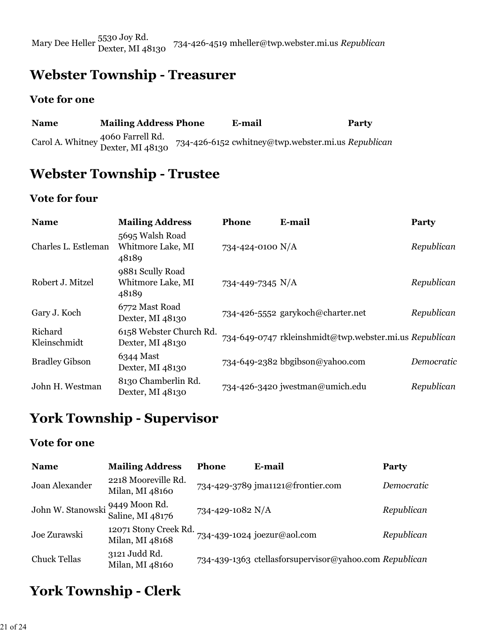Mary Dee Heller 5530 Joy Rd. Dexter, MI 48130 734-426-4519 mheller@twp.webster.mi.us *Republican*

## **Webster Township - Treasurer**

#### **Vote for one**

| <b>Name</b> | <b>Mailing Address Phone</b>                          | E-mail                                             | <b>Party</b> |
|-------------|-------------------------------------------------------|----------------------------------------------------|--------------|
|             | Carol A. Whitney 4060 Farrell Rd.<br>Dexter, MI 48130 | 734-426-6152 cwhitney@twp.webster.mi.us Republican |              |

### **Webster Township - Trustee**

#### **Vote for four**

| <b>Name</b>             | <b>Mailing Address</b>                         | Phone            | E-mail                                                 | Party      |
|-------------------------|------------------------------------------------|------------------|--------------------------------------------------------|------------|
| Charles L. Estleman     | 5695 Walsh Road<br>Whitmore Lake, MI<br>48189  | 734-424-0100 N/A |                                                        | Republican |
| Robert J. Mitzel        | 9881 Scully Road<br>Whitmore Lake, MI<br>48189 | 734-449-7345 N/A |                                                        | Republican |
| Gary J. Koch            | 6772 Mast Road<br>Dexter, MI 48130             |                  | 734-426-5552 garykoch@charter.net                      | Republican |
| Richard<br>Kleinschmidt | 6158 Webster Church Rd.<br>Dexter, MI 48130    |                  | 734-649-0747 rkleinshmidt@twp.webster.mi.us Republican |            |
| <b>Bradley Gibson</b>   | 6344 Mast<br>Dexter, MI 48130                  |                  | 734-649-2382 bbgibson@yahoo.com                        | Democratic |
| John H. Westman         | 8130 Chamberlin Rd.<br>Dexter, MI 48130        |                  | 734-426-3420 jwestman@umich.edu                        | Republican |

## **York Township - Supervisor**

#### **Vote for one**

| <b>Name</b>                     | <b>Mailing Address</b>                   | <b>Phone</b>     | E-mail                                                 | <b>Party</b> |
|---------------------------------|------------------------------------------|------------------|--------------------------------------------------------|--------------|
| Joan Alexander                  | 2218 Mooreville Rd.<br>Milan, MI 48160   |                  | 734-429-3789 jma1121@frontier.com                      | Democratic   |
| John W. Stanowski 9449 Moon Rd. | Saline, MI 48176                         | 734-429-1082 N/A |                                                        | Republican   |
| Joe Zurawski                    | 12071 Stony Creek Rd.<br>Milan, MI 48168 |                  | 734-439-1024 joezur@aol.com                            | Republican   |
| <b>Chuck Tellas</b>             | 3121 Judd Rd.<br>Milan, MI 48160         |                  | 734-439-1363 ctellasforsupervisor@yahoo.com Republican |              |

# **York Township - Clerk**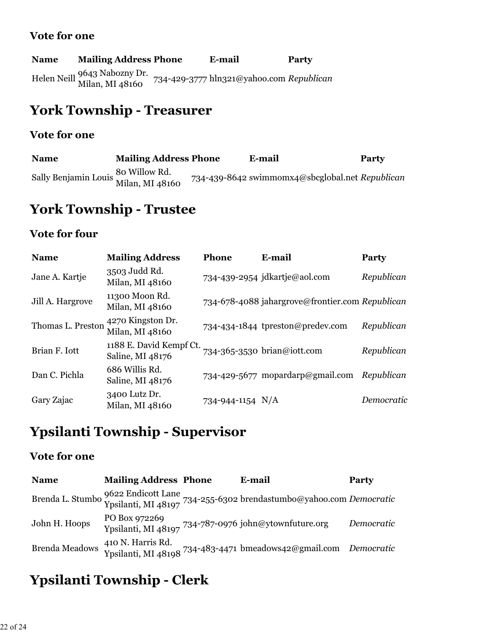#### **Vote for one**

#### **Name Mailing Address Phone E-mail Party**

Helen Neill 9643 Nabozny Dr. Milan, MI 48160 734-429-3777 hln321@yahoo.com *Republican*

### **York Township - Treasurer**

#### **Vote for one**

| <b>Name</b>                                           | <b>Mailing Address Phone</b> | E-mail                                          | Party |
|-------------------------------------------------------|------------------------------|-------------------------------------------------|-------|
| Sally Benjamin Louis 80 Willow Rd.<br>Milan, MI 48160 |                              | 734-439-8642 swimmomx4@sbcglobal.net Republican |       |

## **York Township - Trustee**

#### **Vote for four**

| <b>Name</b>       | <b>Mailing Address</b>                      | <b>Phone</b>       | E-mail                                          | <b>Party</b> |
|-------------------|---------------------------------------------|--------------------|-------------------------------------------------|--------------|
| Jane A. Kartje    | 3503 Judd Rd.<br>Milan, MI 48160            |                    | 734-439-2954 jdkartje@aol.com                   | Republican   |
| Jill A. Hargrove  | 11300 Moon Rd.<br>Milan, MI 48160           |                    | 734-678-4088 jahargrove@frontier.com Republican |              |
| Thomas L. Preston | 4270 Kingston Dr.<br>Milan, MI 48160        |                    | 734-434-1844 tpreston@predev.com                | Republican   |
| Brian F. Iott     | 1188 E. David Kempf Ct.<br>Saline, MI 48176 |                    | 734-365-3530 brian@iott.com                     | Republican   |
| Dan C. Pichla     | 686 Willis Rd.<br>Saline, MI 48176          |                    | 734-429-5677 mopardarp@gmail.com                | Republican   |
| Gary Zajac        | 3400 Lutz Dr.<br>Milan, MI 48160            | 734-944-1154 $N/A$ |                                                 | Democratic   |

## **Ypsilanti Township - Supervisor**

#### **Vote for one**

| <b>Name</b>           | <b>Mailing Address Phone</b> | E-mail                                                                                                    | Party      |
|-----------------------|------------------------------|-----------------------------------------------------------------------------------------------------------|------------|
|                       |                              | Brenda L. Stumbo 9622 Endicott Lane<br>Ypsilanti, MI 48197 734-255-6302 brendastumbo@yahoo.com Democratic |            |
| John H. Hoops         | PO Box 972269                | Ypsilanti, MI 48197 734-787-0976 john@ytownfuture.org                                                     | Democratic |
| <b>Brenda Meadows</b> | 410 N. Harris Rd.            | Ypsilanti, MI 48198 734-483-4471 bmeadows42@gmail.com Democratic                                          |            |

## **Ypsilanti Township - Clerk**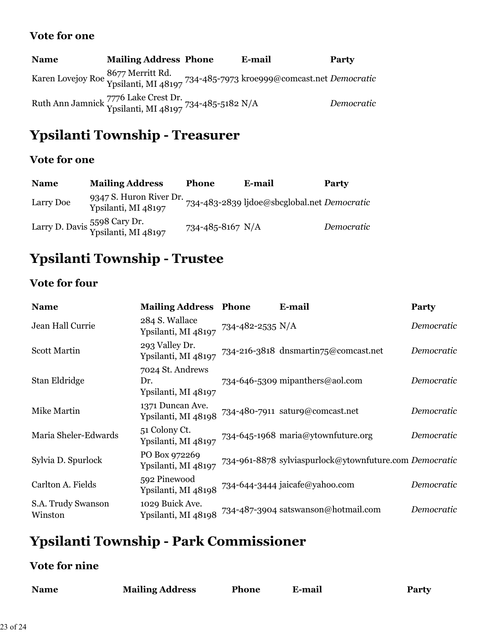#### **Vote for one**

| <b>Name</b> | <b>Mailing Address Phone</b>                                                                  | E-mail                                                                                                | Party      |
|-------------|-----------------------------------------------------------------------------------------------|-------------------------------------------------------------------------------------------------------|------------|
|             |                                                                                               | Karen Lovejoy Roe 8677 Merritt Rd.<br>Ypsilanti, MI 48197 734-485-7973 kroeggg@comcast.net Democratic |            |
|             | Ruth Ann Jamnick 7776 Lake Crest Dr. 734-485-5182 N/A<br>Ypsilanti, MI 48197 734-485-5182 N/A |                                                                                                       | Democratic |

## **Ypsilanti Township - Treasurer**

#### **Vote for one**

| <b>Name</b> | <b>Mailing Address</b>                              | <b>Phone</b>     | E-mail                                      | Party      |
|-------------|-----------------------------------------------------|------------------|---------------------------------------------|------------|
| Larry Doe   | 9347 S. Huron River Dr.<br>Ypsilanti, MI 48197      |                  | 734-483-2839 ljdoe@sbcglobal.net Democratic |            |
|             | Larry D. Davis 5598 Cary Dr.<br>Ypsilanti, MI 48197 | 734-485-8167 N/A |                                             | Democratic |

# **Ypsilanti Township - Trustee**

### **Vote for four**

| <b>Name</b>                   | <b>Mailing Address Phone</b>                   |                  | E-mail                                                 | Party      |
|-------------------------------|------------------------------------------------|------------------|--------------------------------------------------------|------------|
| Jean Hall Currie              | 284 S. Wallace<br>Ypsilanti, MI 48197          | 734-482-2535 N/A |                                                        | Democratic |
| <b>Scott Martin</b>           | 293 Valley Dr.<br>Ypsilanti, MI 48197          |                  | 734-216-3818 dnsmartin75@comcast.net                   | Democratic |
| Stan Eldridge                 | 7024 St. Andrews<br>Dr.<br>Ypsilanti, MI 48197 |                  | 734-646-5309 mipanthers@aol.com                        | Democratic |
| Mike Martin                   | 1371 Duncan Ave.<br>Ypsilanti, MI 48198        |                  | 734-480-7911 satur9@comcast.net                        | Democratic |
| Maria Sheler-Edwards          | 51 Colony Ct.<br>Ypsilanti, MI 48197           |                  | 734-645-1968 maria@ytownfuture.org                     | Democratic |
| Sylvia D. Spurlock            | PO Box 972269<br>Ypsilanti, MI 48197           |                  | 734-961-8878 sylviaspurlock@ytownfuture.com Democratic |            |
| Carlton A. Fields             | 592 Pinewood<br>Ypsilanti, MI 48198            |                  | 734-644-3444 jaicafe@yahoo.com                         | Democratic |
| S.A. Trudy Swanson<br>Winston | 1029 Buick Ave.<br>Ypsilanti, MI 48198         |                  | 734-487-3904 satswanson@hotmail.com                    | Democratic |

# **Ypsilanti Township - Park Commissioner**

### **Vote for nine**

| <b>Name</b> | <b>Mailing Address</b> | <b>Phone</b> | E-mail | <b>Party</b> |
|-------------|------------------------|--------------|--------|--------------|
|             |                        |              |        |              |